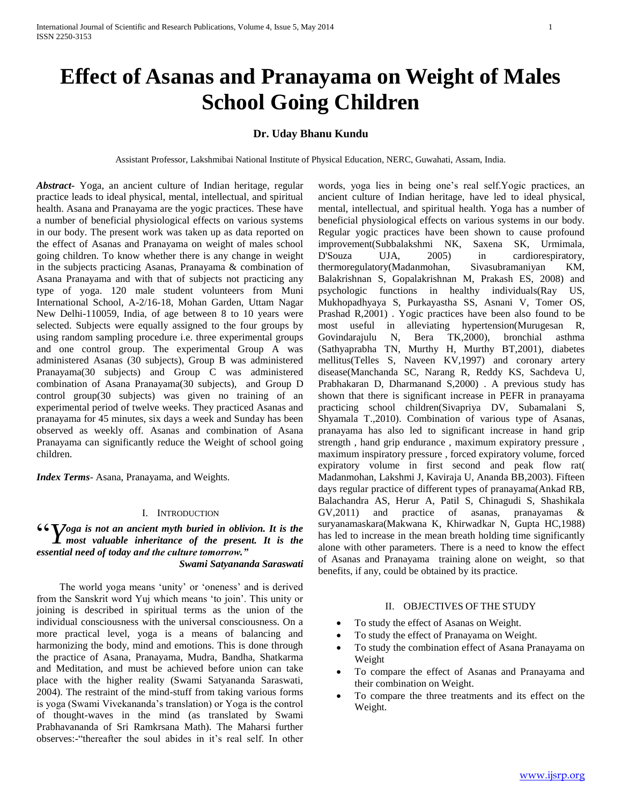# **Effect of Asanas and Pranayama on Weight of Males School Going Children**

## **Dr. Uday Bhanu Kundu**

Assistant Professor, Lakshmibai National Institute of Physical Education, NERC, Guwahati, Assam, India.

*Abstract***-** Yoga, an ancient culture of Indian heritage, regular practice leads to ideal physical, mental, intellectual, and spiritual health. Asana and Pranayama are the yogic practices. These have a number of beneficial physiological effects on various systems in our body. The present work was taken up as data reported on the effect of Asanas and Pranayama on weight of males school going children. To know whether there is any change in weight in the subjects practicing Asanas, Pranayama & combination of Asana Pranayama and with that of subjects not practicing any type of yoga. 120 male student volunteers from Muni International School, A-2/16-18, Mohan Garden, Uttam Nagar New Delhi-110059, India, of age between 8 to 10 years were selected. Subjects were equally assigned to the four groups by using random sampling procedure i.e. three experimental groups and one control group. The experimental Group A was administered Asanas (30 subjects), Group B was administered Pranayama(30 subjects) and Group C was administered combination of Asana Pranayama(30 subjects), and Group D control group(30 subjects) was given no training of an experimental period of twelve weeks. They practiced Asanas and pranayama for 45 minutes, six days a week and Sunday has been observed as weekly off. Asanas and combination of Asana Pranayama can significantly reduce the Weight of school going children.

*Index Terms*- Asana, Pranayama, and Weights.

### I. INTRODUCTION

## **66** Yoga is not an ancient myth buried in oblivion. It is the most valuable inheritance of the present. It is the *most valuable inheritance of the present. It is the essential need of today and the culture tomorrow." Swami Satyananda Saraswati*

 The world yoga means 'unity' or 'oneness' and is derived from the Sanskrit word Yuj which means 'to join'. This unity or joining is described in spiritual terms as the union of the individual consciousness with the universal consciousness. On a more practical level, yoga is a means of balancing and harmonizing the body, mind and emotions. This is done through the practice of Asana, Pranayama, Mudra, Bandha, Shatkarma and Meditation, and must be achieved before union can take place with the higher reality (Swami Satyananda Saraswati, 2004). The restraint of the mind-stuff from taking various forms is yoga (Swami Vivekananda's translation) or Yoga is the control of thought-waves in the mind (as translated by Swami Prabhavananda of Sri Ramkrsana Math). The Maharsi further observes:-"thereafter the soul abides in it's real self. In other

words, yoga lies in being one's real self.Yogic practices, an ancient culture of Indian heritage, have led to ideal physical, mental, intellectual, and spiritual health. Yoga has a number of beneficial physiological effects on various systems in our body. Regular yogic practices have been shown to cause profound improvement(Subbalakshmi NK, Saxena SK, Urmimala, D'Souza UJA, 2005) in cardiorespiratory, thermoregulatory(Madanmohan, Sivasubramaniyan KM, Balakrishnan S, Gopalakrishnan M, Prakash ES, 2008) and psychologic functions in healthy individuals(Ray US, Mukhopadhyaya S, Purkayastha SS, Asnani V, Tomer OS, Prashad R,2001) . Yogic practices have been also found to be most useful in alleviating hypertension(Murugesan R, Govindarajulu N, Bera TK,2000), bronchial asthma (Sathyaprabha TN, Murthy H, Murthy BT,2001), diabetes mellitus(Telles S, Naveen KV,1997) and coronary artery disease(Manchanda SC, Narang R, Reddy KS, Sachdeva U, Prabhakaran D, Dharmanand S,2000) . A previous study has shown that there is significant increase in PEFR in pranayama practicing school children(Sivapriya DV, Subamalani S, Shyamala T.,2010). Combination of various type of Asanas, pranayama has also led to significant increase in hand grip strength , hand grip endurance , maximum expiratory pressure , maximum inspiratory pressure , forced expiratory volume, forced expiratory volume in first second and peak flow rat( Madanmohan, Lakshmi J, Kaviraja U, Ananda BB,2003). Fifteen days regular practice of different types of pranayama(Ankad RB, Balachandra AS, Herur A, Patil S, Chinagudi S, Shashikala GV,2011) and practice of asanas, pranayamas & suryanamaskara(Makwana K, Khirwadkar N, Gupta HC,1988) has led to increase in the mean breath holding time significantly alone with other parameters. There is a need to know the effect of Asanas and Pranayama training alone on weight, so that benefits, if any, could be obtained by its practice.

#### II. OBJECTIVES OF THE STUDY

- To study the effect of Asanas on Weight.
- To study the effect of Pranayama on Weight.
- To study the combination effect of Asana Pranayama on Weight
- To compare the effect of Asanas and Pranayama and their combination on Weight.
- To compare the three treatments and its effect on the Weight.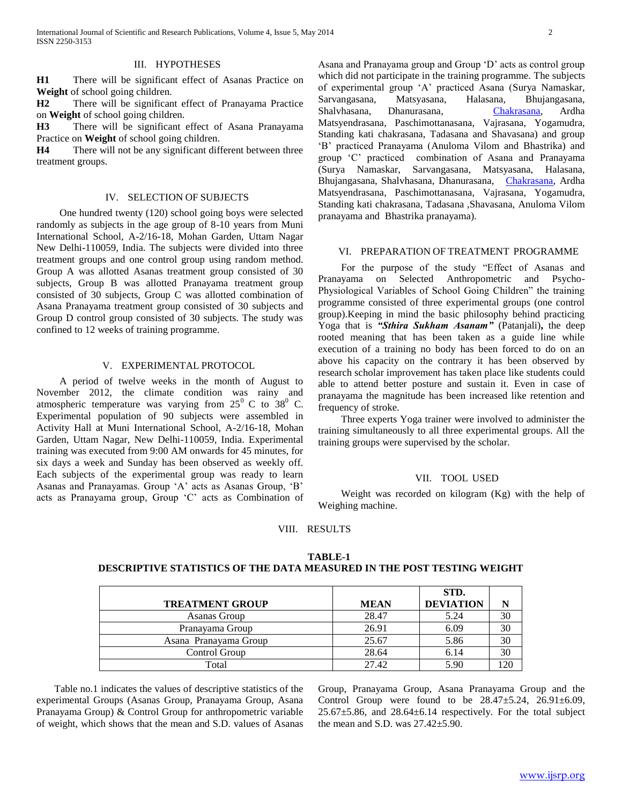### III. HYPOTHESES

**H1** There will be significant effect of Asanas Practice on **Weight** of school going children.

**H2** There will be significant effect of Pranayama Practice on **Weight** of school going children.

**H3** There will be significant effect of Asana Pranayama Practice on **Weight** of school going children.

**H4** There will not be any significant different between three treatment groups.

### IV. SELECTION OF SUBJECTS

 One hundred twenty (120) school going boys were selected randomly as subjects in the age group of 8-10 years from Muni International School, A-2/16-18, Mohan Garden, Uttam Nagar New Delhi-110059, India. The subjects were divided into three treatment groups and one control group using random method. Group A was allotted Asanas treatment group consisted of 30 subjects, Group B was allotted Pranayama treatment group consisted of 30 subjects, Group C was allotted combination of Asana Pranayama treatment group consisted of 30 subjects and Group D control group consisted of 30 subjects. The study was confined to 12 weeks of training programme.

#### V. EXPERIMENTAL PROTOCOL

 A period of twelve weeks in the month of August to November 2012, the climate condition was rainy and atmospheric temperature was varying from  $25^{\circ}$  C to  $38^{\circ}$  C. Experimental population of 90 subjects were assembled in Activity Hall at Muni International School, A-2/16-18, Mohan Garden, Uttam Nagar, New Delhi-110059, India. Experimental training was executed from 9:00 AM onwards for 45 minutes, for six days a week and Sunday has been observed as weekly off. Each subjects of the experimental group was ready to learn Asanas and Pranayamas. Group 'A' acts as Asanas Group, 'B' acts as Pranayama group, Group 'C' acts as Combination of Asana and Pranayama group and Group 'D' acts as control group which did not participate in the training programme. The subjects of experimental group 'A' practiced Asana (Surya Namaskar, Sarvangasana, Matsyasana, Halasana, Bhujangasana, Shalvhasana, Dhanurasana, [Chakrasana,](http://www.reference.com/browse/wiki/Chakrasana) Ardha Matsyendrasana, Paschimottanasana, Vajrasana, Yogamudra, Standing kati chakrasana, Tadasana and Shavasana) and group 'B' practiced Pranayama (Anuloma Vilom and Bhastrika) and group 'C' practiced combination of Asana and Pranayama (Surya Namaskar, Sarvangasana, Matsyasana, Halasana, Bhujangasana, Shalvhasana, Dhanurasana, [Chakrasana,](http://www.reference.com/browse/wiki/Chakrasana) Ardha Matsyendrasana, Paschimottanasana, Vajrasana, Yogamudra, Standing kati chakrasana, Tadasana ,Shavasana, Anuloma Vilom pranayama and Bhastrika pranayama).

#### VI. PREPARATION OF TREATMENT PROGRAMME

 For the purpose of the study "Effect of Asanas and Pranayama on Selected Anthropometric and Psycho-Physiological Variables of School Going Children" the training programme consisted of three experimental groups (one control group).Keeping in mind the basic philosophy behind practicing Yoga that is *"Sthira Sukham Asanam"* (Patanjali)**,** the deep rooted meaning that has been taken as a guide line while execution of a training no body has been forced to do on an above his capacity on the contrary it has been observed by research scholar improvement has taken place like students could able to attend better posture and sustain it. Even in case of pranayama the magnitude has been increased like retention and frequency of stroke.

 Three experts Yoga trainer were involved to administer the training simultaneously to all three experimental groups. All the training groups were supervised by the scholar.

#### VII. TOOL USED

 Weight was recorded on kilogram (Kg) with the help of Weighing machine.

#### VIII. RESULTS

## **TABLE-1 DESCRIPTIVE STATISTICS OF THE DATA MEASURED IN THE POST TESTING WEIGHT**

|                        |             | STD.             |     |
|------------------------|-------------|------------------|-----|
| <b>TREATMENT GROUP</b> | <b>MEAN</b> | <b>DEVIATION</b> | N   |
| Asanas Group           | 28.47       | 5.24             | 30  |
| Pranayama Group        | 26.91       | 6.09             | 30  |
| Asana Pranayama Group  | 25.67       | 5.86             | 30  |
| Control Group          | 28.64       | 6.14             | 30  |
| Total                  | 27.42       | 5.90             | 120 |

 Table no.1 indicates the values of descriptive statistics of the experimental Groups (Asanas Group, Pranayama Group, Asana Pranayama Group) & Control Group for anthropometric variable of weight, which shows that the mean and S.D. values of Asanas

Group, Pranayama Group, Asana Pranayama Group and the Control Group were found to be  $28.47 \pm 5.24$ ,  $26.91 \pm 6.09$ , 25.67±5.86, and 28.64±6.14 respectively. For the total subject the mean and S.D. was  $27.42 \pm 5.90$ .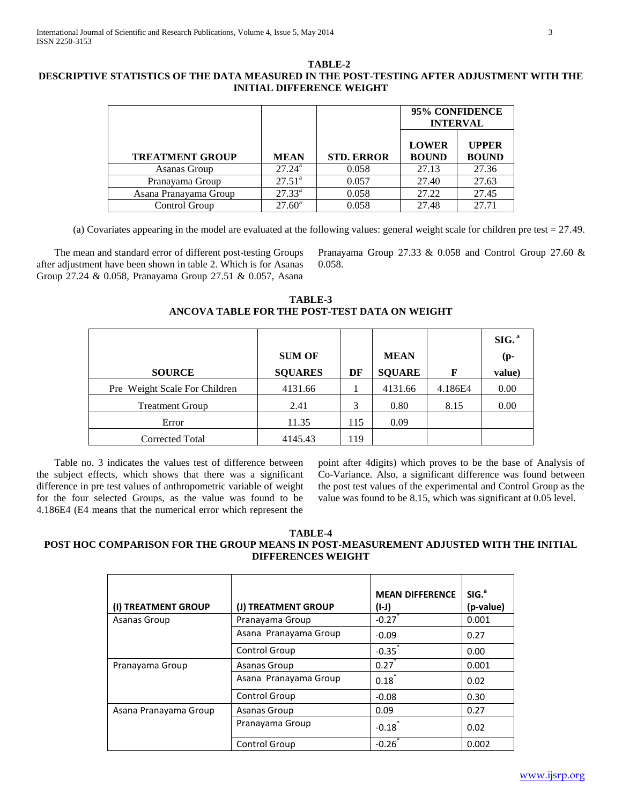## **TABLE-2 DESCRIPTIVE STATISTICS OF THE DATA MEASURED IN THE POST-TESTING AFTER ADJUSTMENT WITH THE INITIAL DIFFERENCE WEIGHT**

|                        |                 |                   | 95% CONFIDENCE<br><b>INTERVAL</b> |                              |
|------------------------|-----------------|-------------------|-----------------------------------|------------------------------|
| <b>TREATMENT GROUP</b> | <b>MEAN</b>     | <b>STD. ERROR</b> | <b>LOWER</b><br><b>BOUND</b>      | <b>UPPER</b><br><b>BOUND</b> |
| Asanas Group           | $27.24^{\rm a}$ | 0.058             | 27.13                             | 27.36                        |
| Pranayama Group        | $27.51^{\circ}$ | 0.057             | 27.40                             | 27.63                        |
| Asana Pranayama Group  | $27.33^{a}$     | 0.058             | 27.22                             | 27.45                        |
| Control Group          | $27.60^{\circ}$ | 0.058             | 27.48                             | 27.71                        |

(a) Covariates appearing in the model are evaluated at the following values: general weight scale for children pre test = 27.49.

 The mean and standard error of different post-testing Groups after adjustment have been shown in table 2. Which is for Asanas Group 27.24 & 0.058, Pranayama Group 27.51 & 0.057, Asana

Pranayama Group 27.33 & 0.058 and Control Group 27.60 & 0.058.

**TABLE-3 ANCOVA TABLE FOR THE POST-TEST DATA ON WEIGHT** 

| <b>SOURCE</b>                 | <b>SUM OF</b><br><b>SQUARES</b> | DF  | <b>MEAN</b><br><b>SQUARE</b> | F       | SIG. <sup>a</sup><br>$(p-$<br>value) |
|-------------------------------|---------------------------------|-----|------------------------------|---------|--------------------------------------|
| Pre Weight Scale For Children | 4131.66                         |     | 4131.66                      | 4.186E4 | 0.00                                 |
| <b>Treatment Group</b>        | 2.41                            | 3   | 0.80                         | 8.15    | 0.00                                 |
| Error                         | 11.35                           | 115 | 0.09                         |         |                                      |
| Corrected Total               | 4145.43                         | 119 |                              |         |                                      |

 Table no. 3 indicates the values test of difference between the subject effects, which shows that there was a significant difference in pre test values of anthropometric variable of weight for the four selected Groups, as the value was found to be 4.186E4 (E4 means that the numerical error which represent the

point after 4digits) which proves to be the base of Analysis of Co-Variance. Also, a significant difference was found between the post test values of the experimental and Control Group as the value was found to be 8.15, which was significant at 0.05 level.

## **TABLE-4 POST HOC COMPARISON FOR THE GROUP MEANS IN POST-MEASUREMENT ADJUSTED WITH THE INITIAL DIFFERENCES WEIGHT**

| (I) TREATMENT GROUP   | (J) TREATMENT GROUP   | <b>MEAN DIFFERENCE</b><br>(I-J) | SIG. <sup>a</sup><br>(p-value) |
|-----------------------|-----------------------|---------------------------------|--------------------------------|
| Asanas Group          | Pranayama Group       | $-0.27$                         | 0.001                          |
|                       | Asana Pranayama Group | $-0.09$                         | 0.27                           |
|                       | Control Group         | $-0.35$ <sup>*</sup>            | 0.00                           |
| Pranayama Group       | Asanas Group          | $0.27$ <sup>*</sup>             | 0.001                          |
|                       | Asana Pranayama Group | 0.18                            | 0.02                           |
|                       | Control Group         | $-0.08$                         | 0.30                           |
| Asana Pranayama Group | Asanas Group          | 0.09                            | 0.27                           |
|                       | Pranayama Group       | $-0.18$                         | 0.02                           |
|                       | <b>Control Group</b>  | $-0.26$                         | 0.002                          |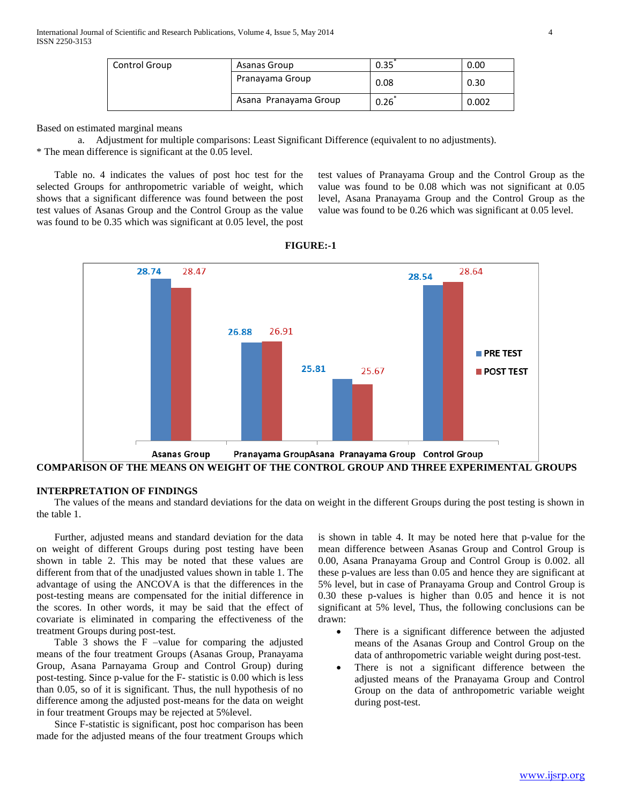| <b>Control Group</b> | Asanas Group          | 0.35 | 0.00  |
|----------------------|-----------------------|------|-------|
|                      | Pranayama Group       | 0.08 | 0.30  |
|                      | Asana Pranayama Group | 0.26 | 0.002 |

Based on estimated marginal means

a. Adjustment for multiple comparisons: Least Significant Difference (equivalent to no adjustments). \* The mean difference is significant at the 0.05 level.

 Table no. 4 indicates the values of post hoc test for the selected Groups for anthropometric variable of weight, which shows that a significant difference was found between the post test values of Asanas Group and the Control Group as the value was found to be 0.35 which was significant at 0.05 level, the post

test values of Pranayama Group and the Control Group as the value was found to be 0.08 which was not significant at 0.05 level, Asana Pranayama Group and the Control Group as the value was found to be 0.26 which was significant at 0.05 level.



**FIGURE:-1**

## **INTERPRETATION OF FINDINGS**

 The values of the means and standard deviations for the data on weight in the different Groups during the post testing is shown in the table 1.

 Further, adjusted means and standard deviation for the data on weight of different Groups during post testing have been shown in table 2. This may be noted that these values are different from that of the unadjusted values shown in table 1. The advantage of using the ANCOVA is that the differences in the post-testing means are compensated for the initial difference in the scores. In other words, it may be said that the effect of covariate is eliminated in comparing the effectiveness of the treatment Groups during post-test.

 Table 3 shows the F –value for comparing the adjusted means of the four treatment Groups (Asanas Group, Pranayama Group, Asana Parnayama Group and Control Group) during post-testing. Since p-value for the F- statistic is 0.00 which is less than 0.05, so of it is significant. Thus, the null hypothesis of no difference among the adjusted post-means for the data on weight in four treatment Groups may be rejected at 5%level.

 Since F-statistic is significant, post hoc comparison has been made for the adjusted means of the four treatment Groups which

is shown in table 4. It may be noted here that p-value for the mean difference between Asanas Group and Control Group is 0.00, Asana Pranayama Group and Control Group is 0.002. all these p-values are less than 0.05 and hence they are significant at 5% level, but in case of Pranayama Group and Control Group is 0.30 these p-values is higher than 0.05 and hence it is not significant at 5% level, Thus, the following conclusions can be drawn:

- There is a significant difference between the adjusted means of the Asanas Group and Control Group on the data of anthropometric variable weight during post-test.
- There is not a significant difference between the adjusted means of the Pranayama Group and Control Group on the data of anthropometric variable weight during post-test.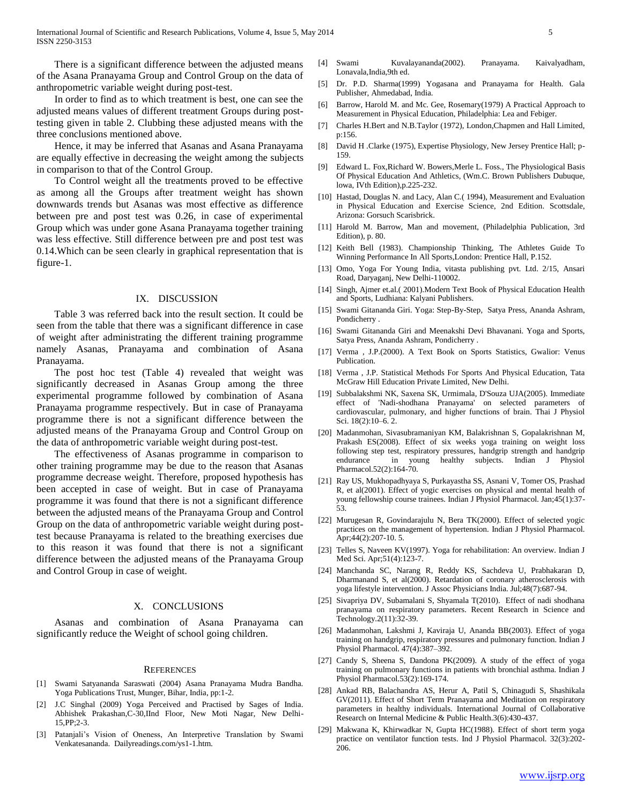There is a significant difference between the adjusted means of the Asana Pranayama Group and Control Group on the data of anthropometric variable weight during post-test.

 In order to find as to which treatment is best, one can see the adjusted means values of different treatment Groups during posttesting given in table 2. Clubbing these adjusted means with the three conclusions mentioned above.

 Hence, it may be inferred that Asanas and Asana Pranayama are equally effective in decreasing the weight among the subjects in comparison to that of the Control Group.

 To Control weight all the treatments proved to be effective as among all the Groups after treatment weight has shown downwards trends but Asanas was most effective as difference between pre and post test was 0.26, in case of experimental Group which was under gone Asana Pranayama together training was less effective. Still difference between pre and post test was 0.14.Which can be seen clearly in graphical representation that is figure-1.

#### IX. DISCUSSION

 Table 3 was referred back into the result section. It could be seen from the table that there was a significant difference in case of weight after administrating the different training programme namely Asanas, Pranayama and combination of Asana Pranayama.

 The post hoc test (Table 4) revealed that weight was significantly decreased in Asanas Group among the three experimental programme followed by combination of Asana Pranayama programme respectively. But in case of Pranayama programme there is not a significant difference between the adjusted means of the Pranayama Group and Control Group on the data of anthropometric variable weight during post-test.

 The effectiveness of Asanas programme in comparison to other training programme may be due to the reason that Asanas programme decrease weight. Therefore, proposed hypothesis has been accepted in case of weight. But in case of Pranayama programme it was found that there is not a significant difference between the adjusted means of the Pranayama Group and Control Group on the data of anthropometric variable weight during posttest because Pranayama is related to the breathing exercises due to this reason it was found that there is not a significant difference between the adjusted means of the Pranayama Group and Control Group in case of weight.

#### X. CONCLUSIONS

 Asanas and combination of Asana Pranayama can significantly reduce the Weight of school going children.

#### **REFERENCES**

- [1] Swami Satyananda Saraswati (2004) Asana Pranayama Mudra Bandha. Yoga Publications Trust, Munger, Bihar, India, pp:1-2.
- [2] J.C Singhal (2009) Yoga Perceived and Practised by Sages of India. Abhishek Prakashan,C-30,IInd Floor, New Moti Nagar, New Delhi-15,PP;2-3.
- [3] Patanjali's Vision of Oneness, An Interpretive Translation by Swami Venkatesananda. Dailyreadings.com/ys1-1.htm.
- [4] Swami Kuvalayananda(2002). Pranayama. Kaivalyadham, Lonavala,India,9th ed.
- [5] Dr. P.D. Sharma(1999) Yogasana and Pranayama for Health. Gala Publisher, Ahmedabad, India.
- [6] Barrow, Harold M. and Mc. Gee, Rosemary(1979) A Practical Approach to Measurement in Physical Education, Philadelphia: Lea and Febiger.
- [7] Charles H.Bert and N.B.Taylor (1972), London,Chapmen and Hall Limited, p:156.
- [8] David H .Clarke (1975), Expertise Physiology, New Jersey Prentice Hall; p-159.
- [9] Edward L. Fox,Richard W. Bowers,Merle L. Foss., The Physiological Basis Of Physical Education And Athletics, (Wm.C. Brown Publishers Dubuque, lowa, IVth Edition),p.225-232.
- [10] Hastad, Douglas N. and Lacy, Alan C.(1994), Measurement and Evaluation in Physical Education and Exercise Science, 2nd Edition. Scottsdale, Arizona: Gorsuch Scarisbrick.
- [11] Harold M. Barrow, Man and movement, (Philadelphia Publication, 3rd Edition), p. 80.
- [12] Keith Bell (1983). Championship Thinking, The Athletes Guide To Winning Performance In All Sports,London: Prentice Hall, P.152.
- [13] Omo, Yoga For Young India, vitasta publishing pvt. Ltd. 2/15, Ansari Road, Daryaganj, New Delhi-110002.
- [14] Singh, Ajmer et.al.( 2001).Modern Text Book of Physical Education Health and Sports, Ludhiana: Kalyani Publishers.
- [15] Swami Gitananda Giri. Yoga: Step-By-Step, Satya Press, Ananda Ashram, Pondicherry .
- [16] Swami Gitananda Giri and Meenakshi Devi Bhavanani. Yoga and Sports, Satya Press, Ananda Ashram, Pondicherry .
- [17] Verma , J.P.(2000). A Text Book on Sports Statistics, Gwalior: Venus Publication.
- [18] Verma, J.P. Statistical Methods For Sports And Physical Education, Tata McGraw Hill Education Private Limited, New Delhi.
- [19] Subbalakshmi NK, Saxena SK, Urmimala, D'Souza UJA(2005). Immediate effect of 'Nadi-shodhana Pranayama' on selected parameters of cardiovascular, pulmonary, and higher functions of brain. Thai J Physiol Sci. 18(2):10–6. 2.
- [20] Madanmohan, Sivasubramaniyan KM, Balakrishnan S, Gopalakrishnan M, Prakash ES(2008). Effect of six weeks yoga training on weight loss following step test, respiratory pressures, handgrip strength and handgrip endurance in young healthy subjects. Indian J Physiol Pharmacol.52(2):164-70.
- [21] Ray US, Mukhopadhyaya S, Purkayastha SS, Asnani V, Tomer OS, Prashad R, et al(2001). Effect of yogic exercises on physical and mental health of young fellowship course trainees. Indian J Physiol Pharmacol. Jan;45(1):37- 53.
- [22] Murugesan R, Govindarajulu N, Bera TK(2000). Effect of selected yogic practices on the management of hypertension. Indian J Physiol Pharmacol. Apr;44(2):207-10. 5.
- [23] Telles S, Naveen KV(1997). Yoga for rehabilitation: An overview. Indian J Med Sci. Apr;51(4):123-7.
- [24] Manchanda SC, Narang R, Reddy KS, Sachdeva U, Prabhakaran D, Dharmanand S, et al(2000). Retardation of coronary atherosclerosis with yoga lifestyle intervention. J Assoc Physicians India. Jul;48(7):687-94.
- [25] Sivapriya DV, Subamalani S, Shyamala T(2010). Effect of nadi shodhana pranayama on respiratory parameters. Recent Research in Science and Technology.2(11):32-39.
- [26] Madanmohan, Lakshmi J, Kaviraja U, Ananda BB(2003). Effect of yoga training on handgrip, respiratory pressures and pulmonary function. Indian J Physiol Pharmacol. 47(4):387–392.
- [27] Candy S, Sheena S, Dandona PK(2009). A study of the effect of yoga training on pulmonary functions in patients with bronchial asthma. Indian J Physiol Pharmacol.53(2):169-174.
- [28] Ankad RB, Balachandra AS, Herur A, Patil S, Chinagudi S, Shashikala GV(2011). Effect of Short Term Pranayama and Meditation on respiratory parameters in healthy individuals. International Journal of Collaborative Research on Internal Medicine & Public Health.3(6):430-437.
- [29] Makwana K, Khirwadkar N, Gupta HC(1988). Effect of short term yoga practice on ventilator function tests. Ind J Physiol Pharmacol. 32(3):202- 206.